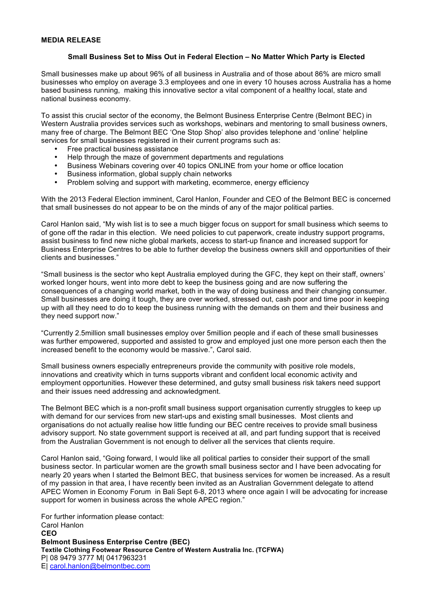## **MEDIA RELEASE**

## **Small Business Set to Miss Out in Federal Election – No Matter Which Party is Elected**

Small businesses make up about 96% of all business in Australia and of those about 86% are micro small businesses who employ on average 3.3 employees and one in every 10 houses across Australia has a home based business running, making this innovative sector a vital component of a healthy local, state and national business economy.

To assist this crucial sector of the economy, the Belmont Business Enterprise Centre (Belmont BEC) in Western Australia provides services such as workshops, webinars and mentoring to small business owners, many free of charge. The Belmont BEC 'One Stop Shop' also provides telephone and 'online' helpline services for small businesses registered in their current programs such as:

- Free practical business assistance
- Help through the maze of government departments and regulations
- Business Webinars covering over 40 topics ONLINE from your home or office location
- Business information, global supply chain networks<br>• Problem solving and support with marketing ecomp
- Problem solving and support with marketing, ecommerce, energy efficiency

With the 2013 Federal Election imminent, Carol Hanlon, Founder and CEO of the Belmont BEC is concerned that small businesses do not appear to be on the minds of any of the major political parties.

Carol Hanlon said, "My wish list is to see a much bigger focus on support for small business which seems to of gone off the radar in this election. We need policies to cut paperwork, create industry support programs, assist business to find new niche global markets, access to start-up finance and increased support for Business Enterprise Centres to be able to further develop the business owners skill and opportunities of their clients and businesses."

"Small business is the sector who kept Australia employed during the GFC, they kept on their staff, owners' worked longer hours, went into more debt to keep the business going and are now suffering the consequences of a changing world market, both in the way of doing business and their changing consumer. Small businesses are doing it tough, they are over worked, stressed out, cash poor and time poor in keeping up with all they need to do to keep the business running with the demands on them and their business and they need support now."

"Currently 2.5million small businesses employ over 5million people and if each of these small businesses was further empowered, supported and assisted to grow and employed just one more person each then the increased benefit to the economy would be massive.", Carol said.

Small business owners especially entrepreneurs provide the community with positive role models, innovations and creativity which in turns supports vibrant and confident local economic activity and employment opportunities. However these determined, and gutsy small business risk takers need support and their issues need addressing and acknowledgment.

The Belmont BEC which is a non-profit small business support organisation currently struggles to keep up with demand for our services from new start-ups and existing small businesses. Most clients and organisations do not actually realise how little funding our BEC centre receives to provide small business advisory support. No state government support is received at all, and part funding support that is received from the Australian Government is not enough to deliver all the services that clients require.

Carol Hanlon said, "Going forward, I would like all political parties to consider their support of the small business sector. In particular women are the growth small business sector and I have been advocating for nearly 20 years when I started the Belmont BEC, that business services for women be increased. As a result of my passion in that area, I have recently been invited as an Australian Government delegate to attend APEC Women in Economy Forum in Bali Sept 6-8, 2013 where once again I will be advocating for increase support for women in business across the whole APEC region."

For further information please contact: Carol Hanlon **CEO Belmont Business Enterprise Centre (BEC) Textile Clothing Footwear Resource Centre of Western Australia Inc. (TCFWA)** P| 08 9479 3777 M| 0417963231 E| carol.hanlon@belmontbec.com